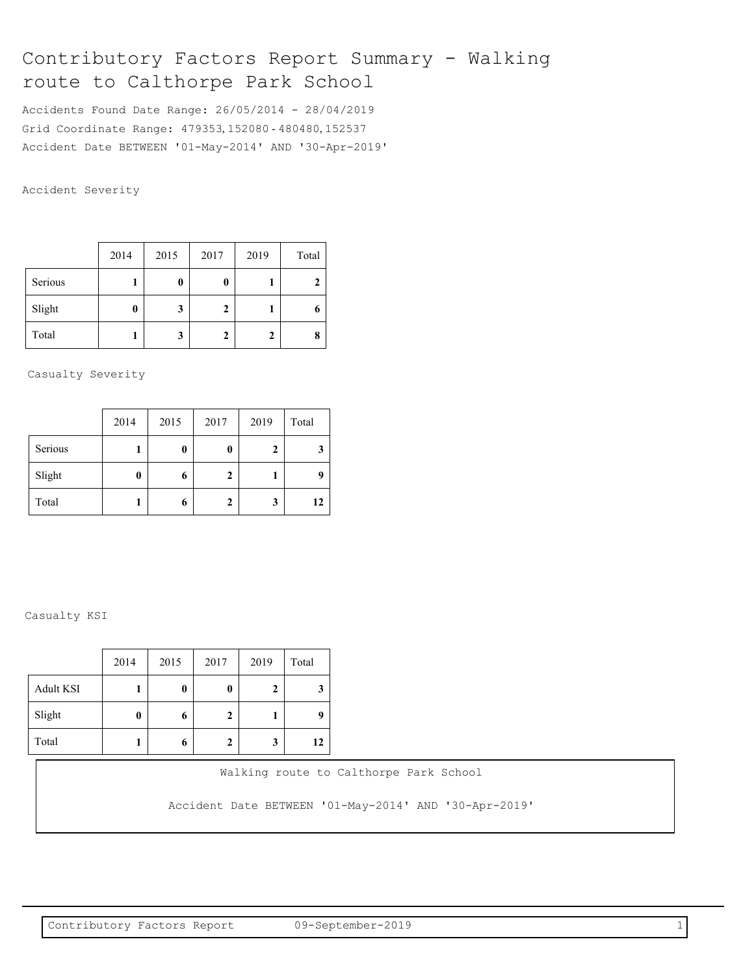# Contributory Factors Report Summary - Walking route to Calthorpe Park School

Accidents Found Date Range: 26/05/2014 - 28/04/2019 Grid Coordinate Range: 479353, 152080 - 480480, 152537 Accident Date BETWEEN '01-May-2014' AND '30-Apr-2019'

Accident Severity

|         | 2014 | 2015 | 2017 | 2019 | Total |
|---------|------|------|------|------|-------|
| Serious |      | 0    | 0    |      |       |
| Slight  | 0    | 3    | 2    |      |       |
| Total   |      | 3    | 2    |      |       |

Casualty Severity

|         | 2014 | 2015 | 2017 | 2019 | Total |
|---------|------|------|------|------|-------|
| Serious |      | 0    | 0    | 2    |       |
| Slight  | 0    | 6    | 2    |      |       |
| Total   |      | 6    | 2    | 3    | 12    |

# Casualty KSI

|                  | 2014 | 2015 | 2017 | 2019         | Total |
|------------------|------|------|------|--------------|-------|
| <b>Adult KSI</b> |      | 0    | 0    | $\mathbf{2}$ | 3     |
| Slight           | 0    | 6    | 2    |              | q     |
| Total            |      | 6    | 2    | 3            | 12    |

Walking route to Calthorpe Park School

Accident Date BETWEEN '01-May-2014' AND '30-Apr-2019'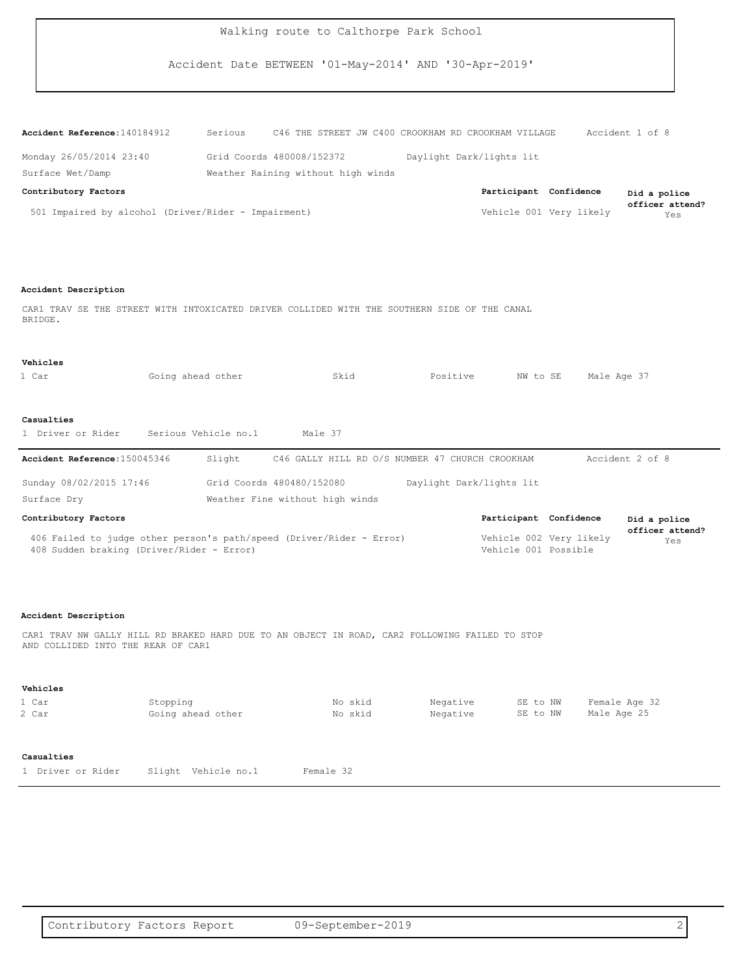Accident Date BETWEEN '01-May-2014' AND '30-Apr-2019'

| $\texttt{Accident Reference:} 140184912$            | Serious                            |  | C46 THE STREET JW C400 CROOKHAM RD CROOKHAM VILLAGE |                          |                         | Accident 1 of 8 |                        |
|-----------------------------------------------------|------------------------------------|--|-----------------------------------------------------|--------------------------|-------------------------|-----------------|------------------------|
| Monday 26/05/2014 23:40                             | Grid Coords 480008/152372          |  |                                                     | Daylight Dark/lights lit |                         |                 |                        |
| Surface Wet/Damp                                    | Weather Raining without high winds |  |                                                     |                          |                         |                 |                        |
| Contributory Factors                                |                                    |  |                                                     |                          | Participant Confidence  |                 | Did a police           |
| 501 Impaired by alcohol (Driver/Rider - Impairment) |                                    |  |                                                     |                          | Vehicle 001 Very likely |                 | officer attend?<br>Yes |

### **Accident Description**

CAR1 TRAV SE THE STREET WITH INTOXICATED DRIVER COLLIDED WITH THE SOUTHERN SIDE OF THE CANAL BRIDGE.

#### **Vehicles**

| 1 Car                         | Going ahead other |                                 |         | Skid                                            | Positive | NW to SE                 | Male Age 37     |
|-------------------------------|-------------------|---------------------------------|---------|-------------------------------------------------|----------|--------------------------|-----------------|
|                               |                   |                                 |         |                                                 |          |                          |                 |
|                               |                   |                                 |         |                                                 |          |                          |                 |
| Casualties                    |                   |                                 |         |                                                 |          |                          |                 |
| 1 Driver or Rider             |                   | Serious Vehicle no.1            | Male 37 |                                                 |          |                          |                 |
|                               |                   |                                 |         |                                                 |          |                          |                 |
| Accident Reference: 150045346 |                   | Slight                          |         | C46 GALLY HILL RD O/S NUMBER 47 CHURCH CROOKHAM |          |                          | Accident 2 of 8 |
|                               |                   |                                 |         |                                                 |          |                          |                 |
|                               |                   |                                 |         |                                                 |          |                          |                 |
| Sunday 08/02/2015 17:46       |                   | Grid Coords 480480/152080       |         |                                                 |          | Daylight Dark/lights lit |                 |
| Surface Dry                   |                   | Weather Fine without high winds |         |                                                 |          |                          |                 |

Yes **officer attend?** Vehicle 001 Possible Vehicle 002 Very likely 408 Sudden braking (Driver/Rider - Error) 406 Failed to judge other person's path/speed (Driver/Rider - Error)

# **Accident Description**

CAR1 TRAV NW GALLY HILL RD BRAKED HARD DUE TO AN OBJECT IN ROAD, CAR2 FOLLOWING FAILED TO STOP AND COLLIDED INTO THE REAR OF CAR1

#### **Vehicles**

| 1 Car                           | Stopping               | No skid   | Negative | SE to NW | Female Age 32 |
|---------------------------------|------------------------|-----------|----------|----------|---------------|
| 2 Car                           | Going ahead other      | No skid   | Negative | SE to NW | Male Age 25   |
| Casualties<br>1 Driver or Rider | Vehicle no.1<br>Slight | Female 32 |          |          |               |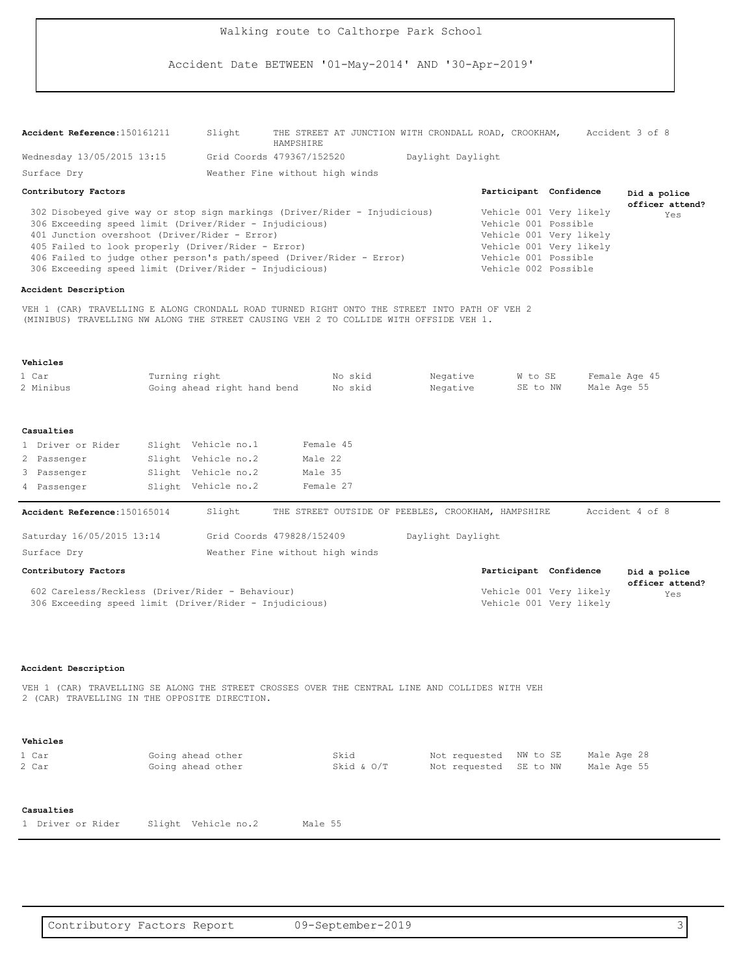Accident Date BETWEEN '01-May-2014' AND '30-Apr-2019'

| Accident Reference: 150161211                                                                                                                                                                                                                                                                                                                                                |               | Slight                                     | HAMPSHIRE          |                      | THE STREET AT JUNCTION WITH CRONDALL ROAD, CROOKHAM, |                                                  |                                                                                                                                                       | Accident 3 of 8                 |
|------------------------------------------------------------------------------------------------------------------------------------------------------------------------------------------------------------------------------------------------------------------------------------------------------------------------------------------------------------------------------|---------------|--------------------------------------------|--------------------|----------------------|------------------------------------------------------|--------------------------------------------------|-------------------------------------------------------------------------------------------------------------------------------------------------------|---------------------------------|
| Wednesday 13/05/2015 13:15                                                                                                                                                                                                                                                                                                                                                   |               | Grid Coords 479367/152520                  |                    |                      | Daylight Daylight                                    |                                                  |                                                                                                                                                       |                                 |
| Surface Dry                                                                                                                                                                                                                                                                                                                                                                  |               | Weather Fine without high winds            |                    |                      |                                                      |                                                  |                                                                                                                                                       |                                 |
| Contributory Factors                                                                                                                                                                                                                                                                                                                                                         |               |                                            |                    |                      |                                                      |                                                  | Participant Confidence                                                                                                                                | Did a police<br>officer attend? |
| 302 Disobeyed give way or stop sign markings (Driver/Rider - Injudicious)<br>306 Exceeding speed limit (Driver/Rider - Injudicious)<br>401 Junction overshoot (Driver/Rider - Error)<br>405 Failed to look properly (Driver/Rider - Error)<br>406 Failed to judge other person's path/speed (Driver/Rider - Error)<br>306 Exceeding speed limit (Driver/Rider - Injudicious) |               |                                            |                    |                      |                                                      |                                                  | Vehicle 001 Very likely<br>Vehicle 001 Possible<br>Vehicle 001 Very likely<br>Vehicle 001 Very likely<br>Vehicle 001 Possible<br>Vehicle 002 Possible | Yes                             |
| Accident Description                                                                                                                                                                                                                                                                                                                                                         |               |                                            |                    |                      |                                                      |                                                  |                                                                                                                                                       |                                 |
| VEH 1 (CAR) TRAVELLING E ALONG CRONDALL ROAD TURNED RIGHT ONTO THE STREET INTO PATH OF VEH 2<br>(MINIBUS) TRAVELLING NW ALONG THE STREET CAUSING VEH 2 TO COLLIDE WITH OFFSIDE VEH 1.                                                                                                                                                                                        |               |                                            |                    |                      |                                                      |                                                  |                                                                                                                                                       |                                 |
| Vehicles                                                                                                                                                                                                                                                                                                                                                                     |               |                                            |                    |                      |                                                      |                                                  |                                                                                                                                                       |                                 |
| 1 Car<br>2 Minibus                                                                                                                                                                                                                                                                                                                                                           | Turning right | Going ahead right hand bend                |                    | No skid<br>No skid   | Negative<br>Negative                                 |                                                  | W to SE<br>SE to NW                                                                                                                                   | Female Age 45<br>Male Age 55    |
| Casualties                                                                                                                                                                                                                                                                                                                                                                   |               |                                            |                    |                      |                                                      |                                                  |                                                                                                                                                       |                                 |
| 1 Driver or Rider                                                                                                                                                                                                                                                                                                                                                            |               | Slight Vehicle no.1                        |                    | Female 45            |                                                      |                                                  |                                                                                                                                                       |                                 |
| 2 Passenger<br>3 Passenger                                                                                                                                                                                                                                                                                                                                                   |               | Slight Vehicle no.2<br>Slight Vehicle no.2 | Male 22<br>Male 35 |                      |                                                      |                                                  |                                                                                                                                                       |                                 |
| 4 Passenger                                                                                                                                                                                                                                                                                                                                                                  |               | Slight Vehicle no.2                        |                    | Female 27            |                                                      |                                                  |                                                                                                                                                       |                                 |
|                                                                                                                                                                                                                                                                                                                                                                              |               |                                            |                    |                      |                                                      |                                                  |                                                                                                                                                       |                                 |
| Accident Reference: 150165014                                                                                                                                                                                                                                                                                                                                                |               | Slight                                     |                    |                      | THE STREET OUTSIDE OF PEEBLES, CROOKHAM, HAMPSHIRE   |                                                  |                                                                                                                                                       | Accident 4 of 8                 |
| Saturday 16/05/2015 13:14                                                                                                                                                                                                                                                                                                                                                    |               | Grid Coords 479828/152409                  |                    |                      | Daylight Daylight                                    |                                                  |                                                                                                                                                       |                                 |
| Surface Dry                                                                                                                                                                                                                                                                                                                                                                  |               | Weather Fine without high winds            |                    |                      |                                                      |                                                  |                                                                                                                                                       |                                 |
| Contributory Factors                                                                                                                                                                                                                                                                                                                                                         |               |                                            |                    |                      |                                                      |                                                  | Participant Confidence                                                                                                                                | Did a police                    |
| 602 Careless/Reckless (Driver/Rider - Behaviour)<br>306 Exceeding speed limit (Driver/Rider - Injudicious)                                                                                                                                                                                                                                                                   |               |                                            |                    |                      |                                                      |                                                  | Vehicle 001 Very likely<br>Vehicle 001 Very likely                                                                                                    | officer attend?<br>Yes          |
| Accident Description<br>VEH 1 (CAR) TRAVELLING SE ALONG THE STREET CROSSES OVER THE CENTRAL LINE AND COLLIDES WITH VEH<br>2 (CAR) TRAVELLING IN THE OPPOSITE DIRECTION.                                                                                                                                                                                                      |               |                                            |                    |                      |                                                      |                                                  |                                                                                                                                                       |                                 |
|                                                                                                                                                                                                                                                                                                                                                                              |               |                                            |                    |                      |                                                      |                                                  |                                                                                                                                                       |                                 |
| Vehicles                                                                                                                                                                                                                                                                                                                                                                     |               |                                            |                    |                      |                                                      |                                                  |                                                                                                                                                       |                                 |
| 1 Car<br>2 Car                                                                                                                                                                                                                                                                                                                                                               |               | Going ahead other<br>Going ahead other     |                    | Skid<br>Skid & $O/T$ |                                                      | Not requested NW to SE<br>Not requested SE to NW |                                                                                                                                                       | Male Age 28<br>Male Age 55      |
| Casualties                                                                                                                                                                                                                                                                                                                                                                   |               |                                            |                    |                      |                                                      |                                                  |                                                                                                                                                       |                                 |
| 1 Driver or Rider                                                                                                                                                                                                                                                                                                                                                            |               | Slight Vehicle no.2                        | Male 55            |                      |                                                      |                                                  |                                                                                                                                                       |                                 |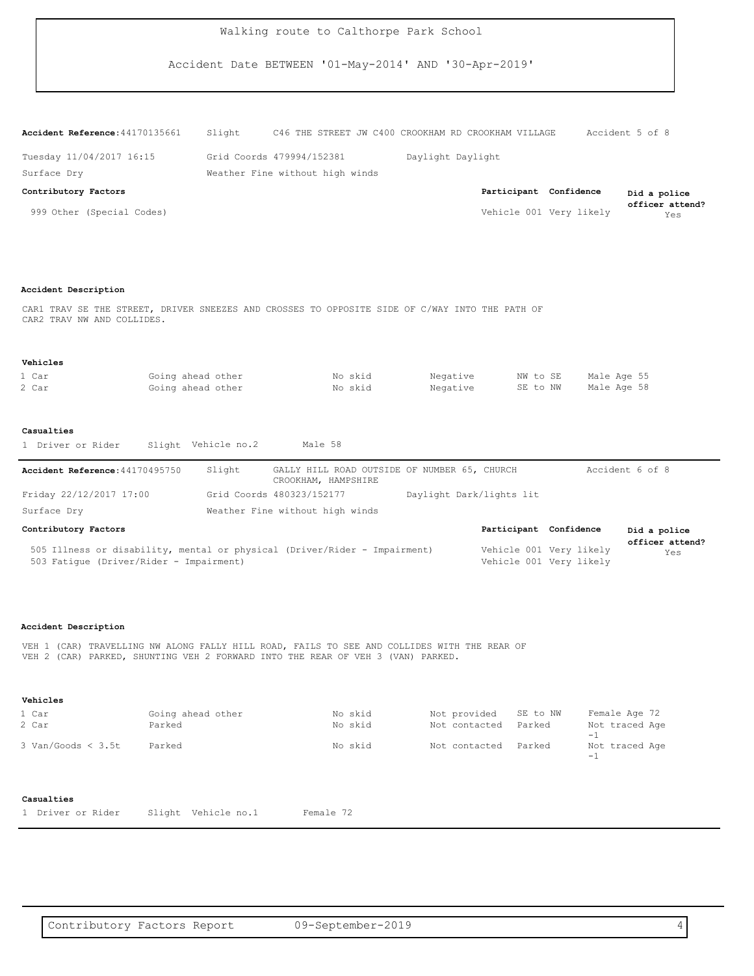Accident Date BETWEEN '01-May-2014' AND '30-Apr-2019'

| Accident Reference: 44170135661 | Slight                          |  |                   | C46 THE STREET JW C400 CROOKHAM RD CROOKHAM VILLAGE |                         | Accident 5 of 8        |
|---------------------------------|---------------------------------|--|-------------------|-----------------------------------------------------|-------------------------|------------------------|
| Tuesday 11/04/2017 16:15        | Grid Coords 479994/152381       |  | Daylight Daylight |                                                     |                         |                        |
| Surface Dry                     | Weather Fine without high winds |  |                   |                                                     |                         |                        |
| Contributory Factors            |                                 |  |                   |                                                     | Participant Confidence  | Did a police           |
| 999 Other (Special Codes)       |                                 |  |                   |                                                     | Vehicle 001 Very likely | officer attend?<br>Yes |

#### **Accident Description**

CAR1 TRAV SE THE STREET, DRIVER SNEEZES AND CROSSES TO OPPOSITE SIDE OF C/WAY INTO THE PATH OF CAR2 TRAV NW AND COLLIDES.

#### **Vehicles**

| 1 Car | Going ahead other | No skid | Negative | NW to SE | Male Age 55 |
|-------|-------------------|---------|----------|----------|-------------|
| 2 Car | Going ahead other | No skid | Negative | SE to NW | Male Age 58 |

#### **Casualties**

|  | 1 Driver or Rider |  |  |  | Slight Vehicle no.2 |  | Male 58 |  |
|--|-------------------|--|--|--|---------------------|--|---------|--|
|--|-------------------|--|--|--|---------------------|--|---------|--|

503 Fatigue (Driver/Rider - Impairment)

| Accident Reference: 44170495750                                           | Slight | GALLY HILL ROAD OUTSIDE OF NUMBER 65, CHURCH<br>CROOKHAM, HAMPSHIRE |                          |  |                         | Accident 6 of 8        |
|---------------------------------------------------------------------------|--------|---------------------------------------------------------------------|--------------------------|--|-------------------------|------------------------|
| Friday 22/12/2017 17:00                                                   |        | Grid Coords 480323/152177                                           | Daylight Dark/lights lit |  |                         |                        |
| Surface Dry                                                               |        | Weather Fine without high winds                                     |                          |  |                         |                        |
| Contributory Factors                                                      |        |                                                                     |                          |  | Participant Confidence  | Did a police           |
| 505 Illness or disability, mental or physical (Driver/Rider - Impairment) |        |                                                                     |                          |  | Vehicle 001 Very likely | officer attend?<br>Yes |

Vehicle 001 Very likely

#### **Accident Description**

VEH 1 (CAR) TRAVELLING NW ALONG FALLY HILL ROAD, FAILS TO SEE AND COLLIDES WITH THE REAR OF VEH 2 (CAR) PARKED, SHUNTING VEH 2 FORWARD INTO THE REAR OF VEH 3 (VAN) PARKED.

#### **Vehicles**

| 1 Car                  | Going ahead other | No skid | Not provided SE to NW |        | Female Age 72          |
|------------------------|-------------------|---------|-----------------------|--------|------------------------|
| 2 Car                  | Parked            | No skid | Not contacted         | Parked | Not traced Age<br>$-1$ |
| $3$ Van/Goods $<$ 3.5t | Parked            | No skid | Not contacted         | Parked | Not traced Age<br>$-1$ |

# **Casualties**

1 Driver or Rider Slight Vehicle no.1 Female 72